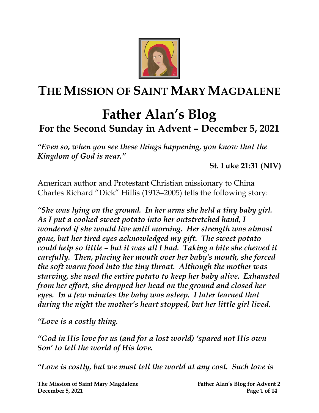

## **THE MISSION OF SAINT MARY MAGDALENE**

## **Father Alan's Blog For the Second Sunday in Advent – December 5, 2021**

*"Even so, when you see these things happening, you know that the Kingdom of God is near."*

**St. Luke 21:31 (NIV)**

[American](https://en.wikipedia.org/wiki/United_States) author and [Protestant](https://en.wikipedia.org/wiki/Protestant) [Christian](https://en.wikipedia.org/wiki/Christianity) [missionary](https://en.wikipedia.org/wiki/Missionary) to [China](https://en.wikipedia.org/wiki/China) Charles Richard "Dick" Hillis (1913–2005) tells the following story:

*"She was lying on the ground. In her arms she held a tiny baby girl. As I put a cooked sweet potato into her outstretched hand, I wondered if she would live until morning. Her strength was almost gone, but her tired eyes acknowledged my gift. The sweet potato could help so little – but it was all I had. Taking a bite she chewed it carefully. Then, placing her mouth over her baby's mouth, she forced the soft warm food into the tiny throat. Although the mother was starving, she used the entire potato to keep her baby alive. Exhausted from her effort, she dropped her head on the ground and closed her eyes. In a few minutes the baby was asleep. I later learned that during the night the mother's heart stopped, but her little girl lived.*

*"Love is a costly thing.* 

*"God in His love for us (and for a lost world) 'spared not His own Son' to tell the world of His love.* 

*"Love is costly, but we must tell the world at any cost. Such love is*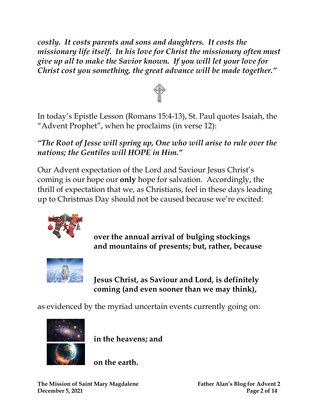*costly. It costs parents and sons and daughters. It costs the missionary life itself. In his love for Christ the missionary often must give up all to make the Savior known. If you will let your love for Christ cost you something, the great advance will be made together."*



In today's Epistle Lesson (Romans 15:4-13), St. Paul quotes Isaiah, the "Advent Prophet", when he proclaims (in verse 12):

*"The Root of Jesse will spring up, One who will arise to rule over the nations; the Gentiles will HOPE in Him."* 

Our Advent expectation of the Lord and Saviour Jesus Christ's coming is our hope our **only** hope for salvation. Accordingly, the thrill of expectation that we, as Christians, feel in these days leading up to Christmas Day should not be caused because we're excited:



**over the annual arrival of bulging stockings and mountains of presents; but, rather, because**



**Jesus Christ, as Saviour and Lord, is definitely coming (and even sooner than we may think),**

as evidenced by the myriad uncertain events currently going on:



**in the heavens; and**

**on the earth.**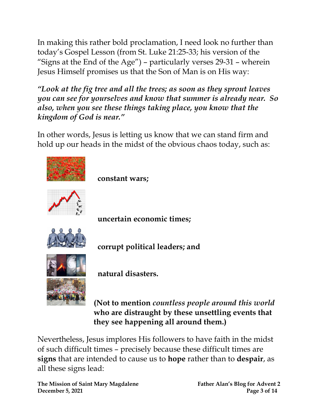In making this rather bold proclamation, I need look no further than today's Gospel Lesson (from St. Luke 21:25-33; his version of the "Signs at the End of the Age") – particularly verses 29-31 – wherein Jesus Himself promises us that the Son of Man is on His way:

*"Look at the fig tree and all the trees; as soon as they sprout leaves you can see for yourselves and know that summer is already near. So also, when you see these things taking place, you know that the kingdom of God is near."* 

In other words, Jesus is letting us know that we can stand firm and hold up our heads in the midst of the obvious chaos today, such as:



**(Not to mention** *countless people around this world* **who are distraught by these unsettling events that they see happening all around them.)**

Nevertheless, Jesus implores His followers to have faith in the midst of such difficult times – precisely because these difficult times are **signs** that are intended to cause us to **hope** rather than to **despair**, as all these signs lead:

**The Mission of Saint Mary Magdalene Father Alan's Blog for Advent 2 December 5, 2021** Page 3 of 14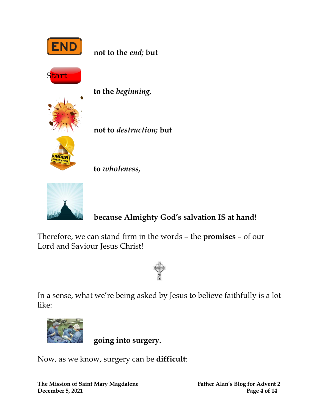



**not to** *destruction;* **but** 

**to** *wholeness,*



## **because Almighty God's salvation IS at hand!**

Therefore, we can stand firm in the words – the **promises** – of our Lord and Saviour Jesus Christ!



In a sense, what we're being asked by Jesus to believe faithfully is a lot like:



**going into surgery.**

Now, as we know, surgery can be **difficult**: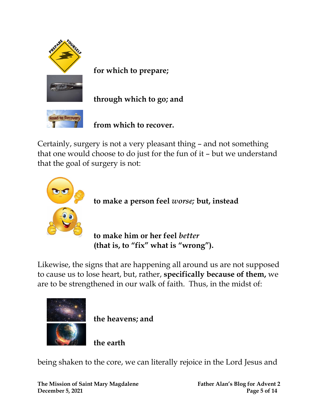



**for which to prepare;**

**through which to go; and**

**from which to recover.**

Certainly, surgery is not a very pleasant thing – and not something that one would choose to do just for the fun of it – but we understand that the goal of surgery is not:



**to make a person feel** *worse;* **but, instead**

**to make him or her feel** *better* **(that is, to "fix" what is "wrong").**

Likewise, the signs that are happening all around us are not supposed to cause us to lose heart, but, rather, **specifically because of them,** we are to be strengthened in our walk of faith. Thus, in the midst of:



**the heavens; and**

**the earth**

being shaken to the core, we can literally rejoice in the Lord Jesus and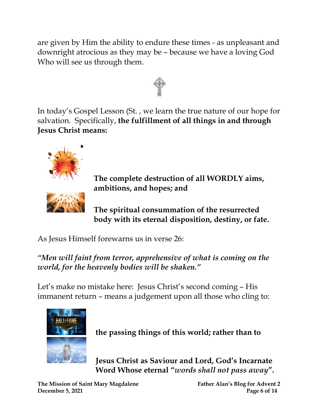are given by Him the ability to endure these times - as unpleasant and downright atrocious as they may be – because we have a loving God Who will see us through them.



In today's Gospel Lesson (St. , we learn the true nature of our hope for salvation. Specifically, **the fulfillment of all things in and through Jesus Christ means:**



**The complete destruction of all WORDLY aims, ambitions, and hopes; and**

**The spiritual consummation of the resurrected body with its eternal disposition, destiny, or fate.**

As Jesus Himself forewarns us in verse 26:

*"Men will faint from terror, apprehensive of what is coming on the world, for the heavenly bodies will be shaken."* 

Let's make no mistake here: Jesus Christ's second coming – His immanent return – means a judgement upon all those who cling to:



**the passing things of this world; rather than to**

**Jesus Christ as Saviour and Lord, God's Incarnate Word Whose eternal "***words shall not pass away***".**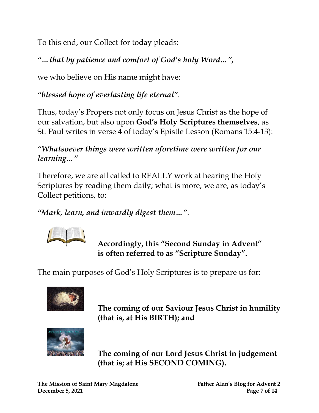To this end, our Collect for today pleads:

*"…that by patience and comfort of God's holy Word…" ,*

we who believe on His name might have:

*"blessed hope of everlasting life eternal"*.

Thus, today's Propers not only focus on Jesus Christ as the hope of our salvation, but also upon **God's Holy Scriptures themselves**, as St. Paul writes in verse 4 of today's Epistle Lesson (Romans 15:4-13):

*"Whatsoever things were written aforetime were written for our learning…"*

Therefore, we are all called to REALLY work at hearing the Holy Scriptures by reading them daily; what is more, we are, as today's Collect petitions, to:

*"Mark, learn, and inwardly digest them…"*.



 **Accordingly, this "Second Sunday in Advent" is often referred to as "Scripture Sunday".**

The main purposes of God's Holy Scriptures is to prepare us for:



 **The coming of our Saviour Jesus Christ in humility (that is, at His BIRTH); and**



 **The coming of our Lord Jesus Christ in judgement (that is; at His SECOND COMING).**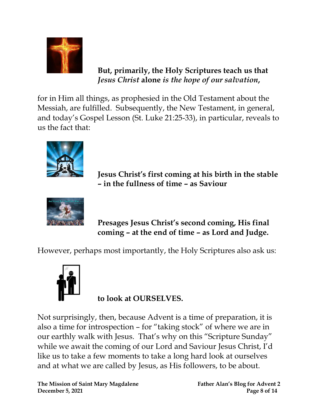

 **But, primarily, the Holy Scriptures teach us that** *Jesus Christ* **alone** *is the hope of our salvation***,**

for in Him all things, as prophesied in the Old Testament about the Messiah, are fulfilled. Subsequently, the New Testament, in general, and today's Gospel Lesson (St. Luke 21:25-33), in particular, reveals to us the fact that:



 **Jesus Christ's first coming at his birth in the stable – in the fullness of time – as Saviour**



 **Presages Jesus Christ's second coming, His final coming – at the end of time – as Lord and Judge.**

However, perhaps most importantly, the Holy Scriptures also ask us:



 **to look at OURSELVES.**

Not surprisingly, then, because Advent is a time of preparation, it is also a time for introspection – for "taking stock" of where we are in our earthly walk with Jesus. That's why on this "Scripture Sunday" while we await the coming of our Lord and Saviour Jesus Christ, I'd like us to take a few moments to take a long hard look at ourselves and at what we are called by Jesus, as His followers, to be about.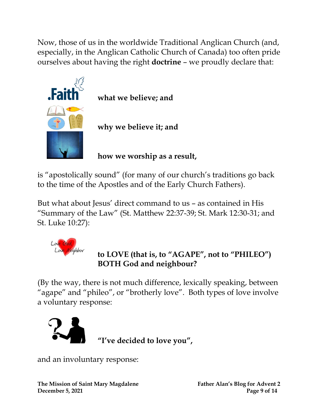Now, those of us in the worldwide Traditional Anglican Church (and, especially, in the Anglican Catholic Church of Canada) too often pride ourselves about having the right **doctrine** – we proudly declare that:



 **what we believe; and**

 **why we believe it; and**

 **how we worship as a result,**

is "apostolically sound" (for many of our church's traditions go back to the time of the Apostles and of the Early Church Fathers).

But what about Jesus' direct command to us – as contained in His "Summary of the Law" (St. Matthew 22:37-39; St. Mark 12:30-31; and St. Luke 10:27):



## **to LOVE (that is, to "AGAPE" , not to "PHILEO") BOTH God and neighbour?**

(By the way, there is not much difference, lexically speaking, between "agape" and "phileo", or "brotherly love". Both types of love involve a voluntary response:



 **"I've decided to love you" ,**

and an involuntary response:

**The Mission of Saint Mary Magdalene Father Alan's Blog for Advent 2 December 5, 2021 Page 9 of 14**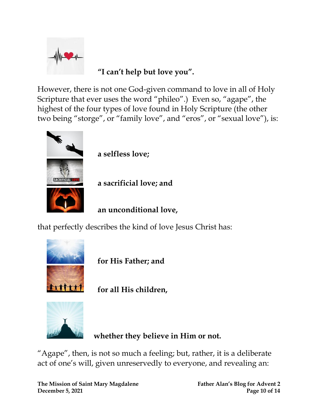

 **"I can't help but love you".**

However, there is not one God-given command to love in all of Holy Scripture that ever uses the word "phileo".) Even so, "agape", the highest of the four types of love found in [Holy](https://www.learnreligions.com/what-is-the-bible-700735) Scripture (the other two being "storge", or "family love", and "eros", or "sexual love"), is:



 **a selfless love;**

 **a sacrificial love; and**

 **an unconditional love,**

that perfectly describes the kind of love [Jesus Christ](https://www.learnreligions.com/profile-of-jesus-christ-701089) has:



 **for [His Father;](https://www.learnreligions.com/god-the-father-701152) and**

 **for all His children,**



**whether they believe in Him or not.**

"Agape", then, is not so much a feeling; but, rather, it is a deliberate act of one's will, given unreservedly to everyone, and revealing an: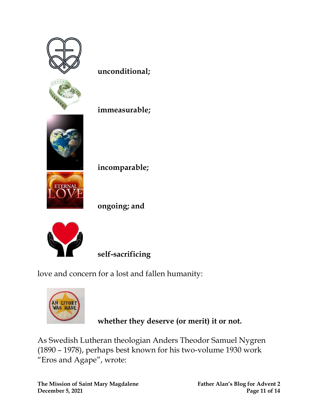

 **unconditional;**

 **immeasurable;**

 **incomparable;**

 **ongoing; and**



 **self-sacrificing**

love and concern for a lost and fallen humanity:



 **whether they deserve (or merit) it or not.**

As Swedish Lutheran theologian Anders Theodor Samuel Nygren (1890 – 1978), perhaps best known for his two-volume 1930 work "Eros and Agape", wrote: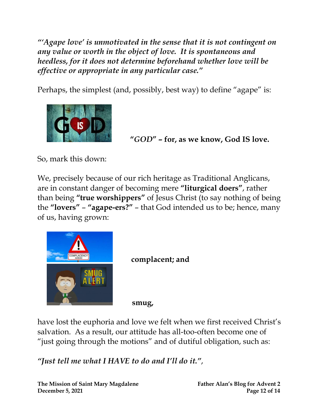*"'Agape love' is unmotivated in the sense that it is not contingent on any value or worth in the object of love. It is spontaneous and heedless, for it does not determine beforehand whether love will be effective or appropriate in any particular case."*

Perhaps, the simplest (and, possibly, best way) to define "agape" is:



 **"***GOD***" – for, as we know, God IS love.**

So, mark this down:

We, precisely because of our rich heritage as Traditional Anglicans, are in constant danger of becoming mere **"liturgical doers"**, rather than being **"true worshippers"** of Jesus Christ (to say nothing of being the **"lovers"** – **"agape-ers?"** – that God intended us to be; hence, many of us, having grown:



**complacent; and**

 **smug,**

have lost the euphoria and love we felt when we first received Christ's salvation. As a result, our attitude has all-too-often become one of "just going through the motions" and of dutiful obligation, such as:

*"Just tell me what I HAVE to do and I'll do it."*,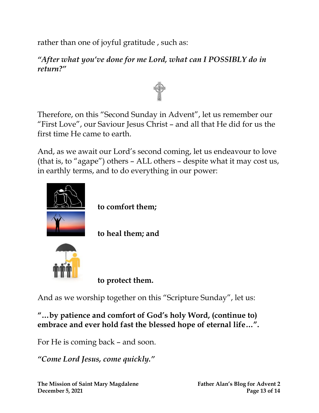rather than one of joyful gratitude , such as:

*"After what you've done for me Lord, what can I POSSIBLY do in return?"*



Therefore, on this "Second Sunday in Advent", let us remember our "First Love", our Saviour Jesus Christ – and all that He did for us the first time He came to earth.

And, as we await our Lord's second coming, let us endeavour to love (that is, to "agape") others – ALL others – despite what it may cost us, in earthly terms, and to do everything in our power:



 **to comfort them;**

 **to heal them; and**



 **to protect them.**

And as we worship together on this "Scripture Sunday", let us:

**"…by patience and comfort of God's holy Word, (continue to) embrace and ever hold fast the blessed hope of eternal life…".**

For He is coming back – and soon.

*"Come Lord Jesus, come quickly."*